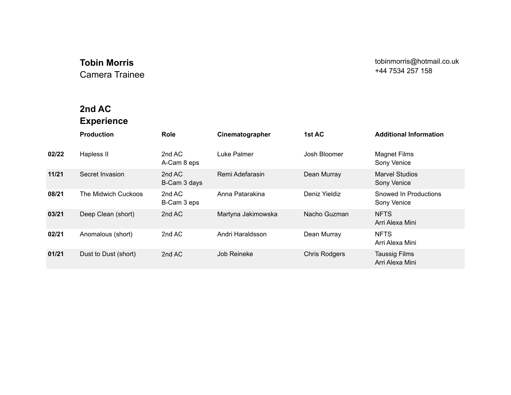# **Tobin Morris**

Camera Trainee

## tobinmorris@hotmail.co.uk +44 7534 257 158

# **2nd AC Experience**

|       | <b>Production</b>    | Role                   | Cinematographer    | 1st AC               | <b>Additional Information</b>           |
|-------|----------------------|------------------------|--------------------|----------------------|-----------------------------------------|
| 02/22 | Hapless II           | 2nd AC<br>A-Cam 8 eps  | Luke Palmer        | Josh Bloomer         | <b>Magnet Films</b><br>Sony Venice      |
| 11/21 | Secret Invasion      | 2nd AC<br>B-Cam 3 days | Remi Adefarasin    | Dean Murray          | <b>Marvel Studios</b><br>Sony Venice    |
| 08/21 | The Midwich Cuckoos  | 2nd AC<br>B-Cam 3 eps  | Anna Patarakina    | Deniz Yieldiz        | Snowed In Productions<br>Sony Venice    |
| 03/21 | Deep Clean (short)   | 2nd AC                 | Martyna Jakimowska | Nacho Guzman         | <b>NFTS</b><br>Arri Alexa Mini          |
| 02/21 | Anomalous (short)    | 2nd AC                 | Andri Haraldsson   | Dean Murray          | <b>NFTS</b><br>Arri Alexa Mini          |
| 01/21 | Dust to Dust (short) | 2nd AC                 | Job Reineke        | <b>Chris Rodgers</b> | <b>Taussig Films</b><br>Arri Alexa Mini |